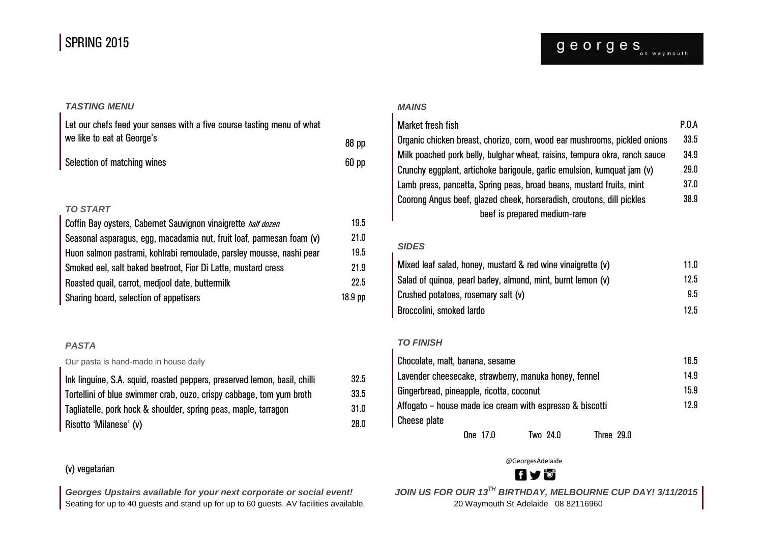## SPRING 2015

## *TASTING MENU*

| Let our chefs feed your senses with a five course tasting menu of what |                  |  |  |
|------------------------------------------------------------------------|------------------|--|--|
| we like to eat at George's                                             | 88 <sub>pp</sub> |  |  |
| Selection of matching wines                                            | 60 <sub>pp</sub> |  |  |

#### *TO START*

| Coffin Bay oysters, Cabernet Sauvignon vinaigrette half dozen         | 19.5    |
|-----------------------------------------------------------------------|---------|
| Seasonal asparagus, egg, macadamia nut, fruit loaf, parmesan foam (v) | 21.0    |
| Huon salmon pastrami, kohlrabi remoulade, parsley mousse, nashi pear  | 19.5    |
| Smoked eel, salt baked beetroot, Fior Di Latte, mustard cress         | 21.9    |
| Roasted quail, carrot, mediool date, buttermilk                       | 22.5    |
| Sharing board, selection of appetisers                                | 18.9 pp |

## *PASTA*

Our pasta is hand-made in house daily

| Ink linguine, S.A. squid, roasted peppers, preserved lemon, basil, chilli | 32.5 |
|---------------------------------------------------------------------------|------|
| Tortellini of blue swimmer crab, ouzo, crispy cabbage, tom yum broth      | 33.5 |
| Tagliatelle, pork hock & shoulder, spring peas, maple, tarragon           | 31.0 |
| Risotto 'Milanese' (v)                                                    | 28.0 |

## (v) vegetarian

Seating for up to 40 guests and stand up for up to 60 guests. AV facilities available. 20 Waymouth St Adelaide 08 82116960

#### *MAINS*

| Market fresh fish                                                          | P.0.A |
|----------------------------------------------------------------------------|-------|
| Organic chicken breast, chorizo, corn, wood ear mushrooms, pickled onions  | 33.5  |
| Milk poached pork belly, bulghar wheat, raisins, tempura okra, ranch sauce | 34.9  |
| Crunchy eggplant, artichoke barigoule, garlic emulsion, kumquat jam (v)    | 29.0  |
| Lamb press, pancetta, Spring peas, broad beans, mustard fruits, mint       | 37.0  |
| Coorong Angus beef, glazed cheek, horseradish, croutons, dill pickles      | 38.9  |
| beef is prepared medium-rare                                               |       |

#### *SIDES*

| Mixed leaf salad, honey, mustard & red wine vinaigrette (v)  | 11. $0$       |
|--------------------------------------------------------------|---------------|
| Salad of quinoa, pearl barley, almond, mint, burnt lemon (v) | 12.5          |
| Crushed potatoes, rosemary salt (v)                          | $9.5^{\circ}$ |
| Broccolini, smoked lardo                                     | 12.5          |

#### *TO FINISH*

| Chocolate, malt, banana, sesame                          |          |            | 16.5 |  |
|----------------------------------------------------------|----------|------------|------|--|
| Lavender cheesecake, strawberry, manuka honey, fennel    |          |            |      |  |
| Gingerbread, pineapple, ricotta, coconut                 |          |            |      |  |
| Affogato – house made ice cream with espresso & biscotti |          |            |      |  |
| Cheese plate                                             |          |            |      |  |
| One 17.0                                                 | Two 24.0 | Three 29.0 |      |  |

@GeorgesAdelaide

# **fy'**

*Georges Upstairs available for your next corporate or social event! JOIN US FOR OUR 13TH BIRTHDAY, MELBOURNE CUP DAY! 3/11/2015*